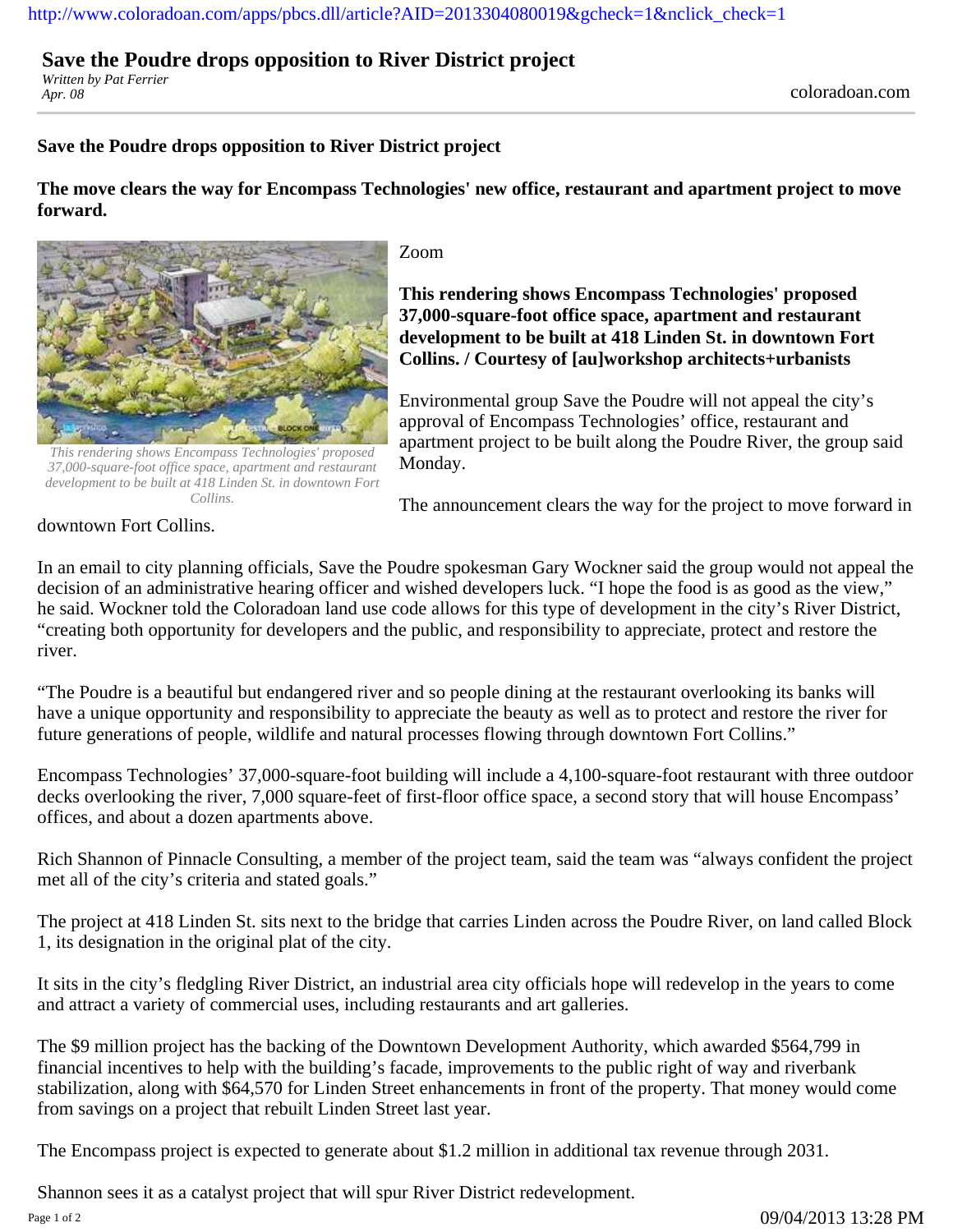## [http://www.coloradoan.com/apps/pbcs.dll/article?AID=2013304080019&gcheck=1&nclick\\_check=1](http://www.coloradoan.com/apps/pbcs.dll/article?AID=2013304080019&gcheck=1&nclick_check=1)

## **Save the Poudre drops opposition to River District project**

*Written by Pat Ferrier*

## **Save the Poudre drops opposition to River District project**

**The move clears the way for Encompass Technologies' new office, restaurant and apartment project to move forward.**



*This rendering shows Encompass Technologies' proposed 37,000-square-foot office space, apartment and restaurant development to be built at 418 Linden St. in downtown Fort Collins.*

Zoom

**This rendering shows Encompass Technologies' proposed 37,000-square-foot office space, apartment and restaurant development to be built at 418 Linden St. in downtown Fort Collins. / Courtesy of [au]workshop architects+urbanists**

Environmental group Save the Poudre will not appeal the city's approval of Encompass Technologies' office, restaurant and apartment project to be built along the Poudre River, the group said Monday.

The announcement clears the way for the project to move forward in

downtown Fort Collins.

In an email to city planning officials, Save the Poudre spokesman Gary Wockner said the group would not appeal the decision of an administrative hearing officer and wished developers luck. "I hope the food is as good as the view," he said. Wockner told the Coloradoan land use code allows for this type of development in the city's River District, "creating both opportunity for developers and the public, and responsibility to appreciate, protect and restore the river.

"The Poudre is a beautiful but endangered river and so people dining at the restaurant overlooking its banks will have a unique opportunity and responsibility to appreciate the beauty as well as to protect and restore the river for future generations of people, wildlife and natural processes flowing through downtown Fort Collins."

Encompass Technologies' 37,000-square-foot building will include a 4,100-square-foot restaurant with three outdoor decks overlooking the river, 7,000 square-feet of first-floor office space, a second story that will house Encompass' offices, and about a dozen apartments above.

Rich Shannon of Pinnacle Consulting, a member of the project team, said the team was "always confident the project met all of the city's criteria and stated goals."

The project at 418 Linden St. sits next to the bridge that carries Linden across the Poudre River, on land called Block 1, its designation in the original plat of the city.

It sits in the city's fledgling River District, an industrial area city officials hope will redevelop in the years to come and attract a variety of commercial uses, including restaurants and art galleries.

The \$9 million project has the backing of the Downtown Development Authority, which awarded \$564,799 in financial incentives to help with the building's facade, improvements to the public right of way and riverbank stabilization, along with \$64,570 for Linden Street enhancements in front of the property. That money would come from savings on a project that rebuilt Linden Street last year.

The Encompass project is expected to generate about \$1.2 million in additional tax revenue through 2031.

Shannon sees it as a catalyst project that will spur River District redevelopment.